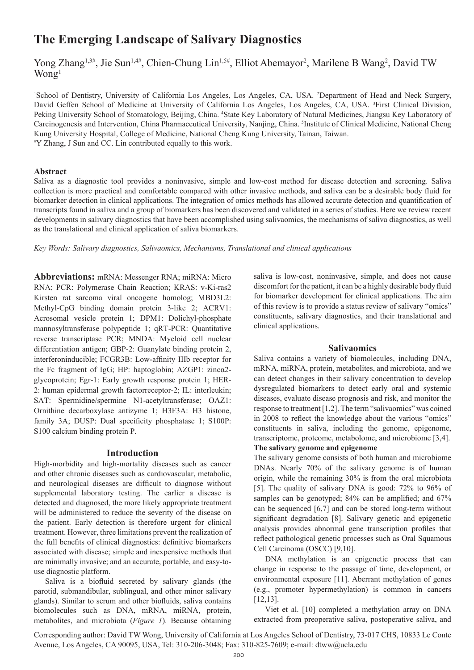# **The Emerging Landscape of Salivary Diagnostics**

Yong Zhang<sup>1,3#</sup>, Jie Sun<sup>1,4#</sup>, Chien-Chung Lin<sup>1,5#</sup>, Elliot Abemayor<sup>2</sup>, Marilene B Wang<sup>2</sup>, David TW Wong<sup>1</sup>

1 School of Dentistry, University of California Los Angeles, Los Angeles, CA, USA. <sup>2</sup> Department of Head and Neck Surgery, David Geffen School of Medicine at University of California Los Angeles, Los Angeles, CA, USA. <sup>3</sup>First Clinical Division, Peking University School of Stomatology, Beijing, China. <sup>4</sup>State Key Laboratory of Natural Medicines, Jiangsu Key Laboratory of Carcinogenesis and Intervention, China Pharmaceutical University, Nanjing, China. <sup>5</sup>Institute of Clinical Medicine, National Cheng Kung University Hospital, College of Medicine, National Cheng Kung University, Tainan, Taiwan. # Y Zhang, J Sun and CC. Lin contributed equally to this work.

# **Abstract**

Saliva as a diagnostic tool provides a noninvasive, simple and low-cost method for disease detection and screening. Saliva collection is more practical and comfortable compared with other invasive methods, and saliva can be a desirable body fluid for biomarker detection in clinical applications. The integration of omics methods has allowed accurate detection and quantification of transcripts found in saliva and a group of biomarkers has been discovered and validated in a series of studies. Here we review recent developments in salivary diagnostics that have been accomplished using salivaomics, the mechanisms of saliva diagnostics, as well as the translational and clinical application of saliva biomarkers.

*Key Words: Salivary diagnostics, Salivaomics, Mechanisms, Translational and clinical applications*

**Abbreviations:** mRNA: Messenger RNA; miRNA: Micro RNA; PCR: Polymerase Chain Reaction; KRAS: v-Ki-ras2 Kirsten rat sarcoma viral oncogene homolog; MBD3L2: Methyl-CpG binding domain protein 3-like 2; ACRV1: Acrosomal vesicle protein 1; DPM1: Dolichyl-phosphate mannosyltransferase polypeptide 1; qRT-PCR: Quantitative reverse transcriptase PCR; MNDA: Myeloid cell nuclear differentiation antigen; GBP-2: Guanylate binding protein 2, interferoninducible; FCGR3B: Low-affinity IIIb receptor for the Fc fragment of IgG; HP: haptoglobin; AZGP1: zincα2 glycoprotein; Egr-1: Early growth response protein 1; HER-2: human epidermal growth factorreceptor-2; IL: interleukin; SAT: Spermidine/spermine N1-acetyltransferase; OAZ1: Ornithine decarboxylase antizyme 1; H3F3A: H3 histone, family 3A; DUSP: Dual specificity phosphatase 1; S100P: S100 calcium binding protein P.

# **Introduction**

High-morbidity and high-mortality diseases such as cancer and other chronic diseases such as cardiovascular, metabolic, and neurological diseases are difficult to diagnose without supplemental laboratory testing. The earlier a disease is detected and diagnosed, the more likely appropriate treatment will be administered to reduce the severity of the disease on the patient. Early detection is therefore urgent for clinical treatment. However, three limitations prevent the realization of the full benefits of clinical diagnostics: definitive biomarkers associated with disease; simple and inexpensive methods that are minimally invasive; and an accurate, portable, and easy-touse diagnostic platform.

Saliva is a biofluid secreted by salivary glands (the parotid, submandibular, sublingual, and other minor salivary glands). Similar to serum and other biofluids, saliva contains biomolecules such as DNA, mRNA, miRNA, protein, metabolites, and microbiota (*Figure 1*). Because obtaining saliva is low-cost, noninvasive, simple, and does not cause discomfort for the patient, it can be a highly desirable body fluid for biomarker development for clinical applications. The aim of this review is to provide a status review of salivary "omics" constituents, salivary diagnostics, and their translational and clinical applications.

### **Salivaomics**

Saliva contains a variety of biomolecules, including DNA, mRNA, miRNA, protein, metabolites, and microbiota, and we can detect changes in their salivary concentration to develop dysregulated biomarkers to detect early oral and systemic diseases, evaluate disease prognosis and risk, and monitor the response to treatment [1,2]. The term "salivaomics" was coined in 2008 to reflect the knowledge about the various "omics" constituents in saliva, including the genome, epigenome, transcriptome, proteome, metabolome, and microbiome [3,4]. **The salivary genome and epigenome**

The salivary genome consists of both human and microbiome DNAs. Nearly 70% of the salivary genome is of human origin, while the remaining 30% is from the oral microbiota [5]. The quality of salivary DNA is good: 72% to 96% of samples can be genotyped; 84% can be amplified; and 67% can be sequenced [6,7] and can be stored long-term without significant degradation [8]. Salivary genetic and epigenetic analysis provides abnormal gene transcription profiles that reflect pathological genetic processes such as Oral Squamous Cell Carcinoma (OSCC) [9,10].

DNA methylation is an epigenetic process that can change in response to the passage of time, development, or environmental exposure [11]. Aberrant methylation of genes (e.g., promoter hypermethylation) is common in cancers [12,13].

Viet et al. [10] completed a methylation array on DNA extracted from preoperative saliva, postoperative saliva, and

Corresponding author: David TW Wong, University of California at Los Angeles School of Dentistry, 73-017 CHS, 10833 Le Conte Avenue, Los Angeles, CA 90095, USA, Tel: 310-206-3048; Fax: 310-825-7609; e-mail: dtww@ucla.edu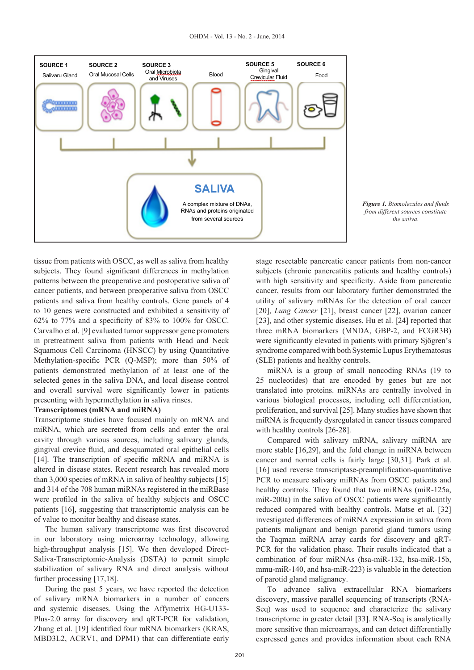

*Figure 1. Biomolecules and fluids from different sources constitute the saliva.*

tissue from patients with OSCC, as well as saliva from healthy subjects. They found significant differences in methylation patterns between the preoperative and postoperative saliva of cancer patients, and between preoperative saliva from OSCC patients and saliva from healthy controls. Gene panels of 4 to 10 genes were constructed and exhibited a sensitivity of 62% to 77% and a specificity of 83% to 100% for OSCC. Carvalho et al. [9] evaluated tumor suppressor gene promoters in pretreatment saliva from patients with Head and Neck Squamous Cell Carcinoma (HNSCC) by using Quantitative Methylation-specific PCR (Q-MSP); more than 50% of patients demonstrated methylation of at least one of the selected genes in the saliva DNA, and local disease control and overall survival were significantly lower in patients presenting with hypermethylation in saliva rinses.

#### **Transcriptomes (mRNA and miRNA)**

Transcriptome studies have focused mainly on mRNA and miRNA, which are secreted from cells and enter the oral cavity through various sources, including salivary glands, gingival crevice fluid, and desquamated oral epithelial cells [14]. The transcription of specific mRNA and miRNA is altered in disease states. Recent research has revealed more than 3,000 species of mRNA in saliva of healthy subjects [15] and 314 of the 708 human miRNAs registered in the miRBase were profiled in the saliva of healthy subjects and OSCC patients [16], suggesting that transcriptomic analysis can be of value to monitor healthy and disease states.

The human salivary transcriptome was first discovered in our laboratory using microarray technology, allowing high-throughput analysis [15]. We then developed Direct-Saliva-Transcriptomic-Analysis (DSTA) to permit simple stabilization of salivary RNA and direct analysis without further processing [17,18].

During the past 5 years, we have reported the detection of salivary mRNA biomarkers in a number of cancers and systemic diseases. Using the Affymetrix HG-U133- Plus-2.0 array for discovery and qRT-PCR for validation, Zhang et al. [19] identified four mRNA biomarkers (KRAS, MBD3L2, ACRV1, and DPM1) that can differentiate early

stage resectable pancreatic cancer patients from non-cancer subjects (chronic pancreatitis patients and healthy controls) with high sensitivity and specificity. Aside from pancreatic cancer, results from our laboratory further demonstrated the utility of salivary mRNAs for the detection of oral cancer [20], *Lung Cancer* [21], breast cancer [22], ovarian cancer [23], and other systemic diseases. Hu et al. [24] reported that three mRNA biomarkers (MNDA, GBP-2, and FCGR3B) were significantly elevated in patients with primary Sjögren's syndrome compared with both Systemic Lupus Erythematosus (SLE) patients and healthy controls.

miRNA is a group of small noncoding RNAs (19 to 25 nucleotides) that are encoded by genes but are not translated into proteins. miRNAs are centrally involved in various biological processes, including cell differentiation, proliferation, and survival [25]. Many studies have shown that miRNA is frequently dysregulated in cancer tissues compared with healthy controls [26-28].

Compared with salivary mRNA, salivary miRNA are more stable [16,29], and the fold change in miRNA between cancer and normal cells is fairly large [30,31]. Park et al. [16] used reverse transcriptase-preamplification-quantitative PCR to measure salivary miRNAs from OSCC patients and healthy controls. They found that two miRNAs (miR-125a, miR-200a) in the saliva of OSCC patients were significantly reduced compared with healthy controls. Matse et al. [32] investigated differences of miRNA expression in saliva from patients malignant and benign parotid gland tumors using the Taqman miRNA array cards for discovery and qRT-PCR for the validation phase. Their results indicated that a combination of four miRNAs (hsa-miR-132, hsa-miR-15b, mmu-miR-140, and hsa-miR-223) is valuable in the detection of parotid gland malignancy.

To advance saliva extracellular RNA biomarkers discovery, massive parallel sequencing of transcripts (RNA-Seq) was used to sequence and characterize the salivary transcriptome in greater detail [33]. RNA-Seq is analytically more sensitive than microarrays, and can detect differentially expressed genes and provides information about each RNA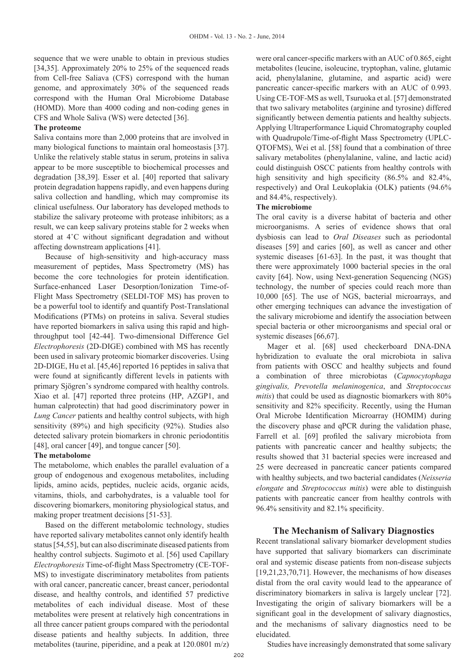sequence that we were unable to obtain in previous studies [34,35]. Approximately 20% to 25% of the sequenced reads from Cell-free Saliava (CFS) correspond with the human genome, and approximately 30% of the sequenced reads correspond with the Human Oral Microbiome Database (HOMD). More than 4000 coding and non-coding genes in CFS and Whole Saliva (WS) were detected [36].

# **The proteome**

Saliva contains more than 2,000 proteins that are involved in many biological functions to maintain oral homeostasis [37]. Unlike the relatively stable status in serum, proteins in saliva appear to be more susceptible to biochemical processes and degradation [38,39]. Esser et al. [40] reported that salivary protein degradation happens rapidly, and even happens during saliva collection and handling, which may compromise its clinical usefulness. Our laboratory has developed methods to stabilize the salivary proteome with protease inhibitors; as a result, we can keep salivary proteins stable for 2 weeks when stored at 4˚C without significant degradation and without affecting downstream applications [41].

Because of high-sensitivity and high-accuracy mass measurement of peptides, Mass Spectrometry (MS) has become the core technologies for protein identification. Surface-enhanced Laser Desorption/Ionization Time-of-Flight Mass Spectrometry (SELDI-TOF MS) has proven to be a powerful tool to identify and quantify Post-Translational Modifications (PTMs) on proteins in saliva. Several studies have reported biomarkers in saliva using this rapid and highthroughput tool [42-44]. Two-dimensional Difference Gel *Electrophoresis* (2D-DIGE) combined with MS has recently been used in salivary proteomic biomarker discoveries. Using 2D-DIGE, Hu et al. [45,46] reported 16 peptides in saliva that were found at significantly different levels in patients with primary Sjögren's syndrome compared with healthy controls. Xiao et al. [47] reported three proteins (HP, AZGP1, and human calprotectin) that had good discriminatory power in *Lung Cancer* patients and healthy control subjects, with high sensitivity (89%) and high specificity (92%). Studies also detected salivary protein biomarkers in chronic periodontitis [48], oral cancer [49], and tongue cancer [50].

### **The metabolome**

The metabolome, which enables the parallel evaluation of a group of endogenous and exogenous metabolites, including lipids, amino acids, peptides, nucleic acids, organic acids, vitamins, thiols, and carbohydrates, is a valuable tool for discovering biomarkers, monitoring physiological status, and making proper treatment decisions [51-53].

Based on the different metabolomic technology, studies have reported salivary metabolites cannot only identify health status [54,55], but can also discriminate diseased patients from healthy control subjects. Sugimoto et al. [56] used Capillary *Electrophoresis* Time-of-flight Mass Spectrometry (CE-TOF-MS) to investigate discriminatory metabolites from patients with oral cancer, pancreatic cancer, breast cancer, periodontal disease, and healthy controls, and identified 57 predictive metabolites of each individual disease. Most of these metabolites were present at relatively high concentrations in all three cancer patient groups compared with the periodontal disease patients and healthy subjects. In addition, three metabolites (taurine, piperidine, and a peak at 120.0801 m/z)

were oral cancer-specific markers with an AUC of 0.865, eight metabolites (leucine, isoleucine, tryptophan, valine, glutamic acid, phenylalanine, glutamine, and aspartic acid) were pancreatic cancer-specific markers with an AUC of 0.993. Using CE-TOF-MS as well, Tsuruoka et al. [57] demonstrated that two salivary metabolites (arginine and tyrosine) differed significantly between dementia patients and healthy subjects. Applying Ultraperformance Liquid Chromatography coupled with Quadrupole/Time-of-flight Mass Spectrometry (UPLC-QTOFMS), Wei et al. [58] found that a combination of three salivary metabolites (phenylalanine, valine, and lactic acid) could distinguish OSCC patients from healthy controls with high sensitivity and high specificity (86.5% and 82.4%, respectively) and Oral Leukoplakia (OLK) patients (94.6% and 84.4%, respectively).

# **The microbiome**

The oral cavity is a diverse habitat of bacteria and other microorganisms. A series of evidence shows that oral dysbiosis can lead to *Oral Diseases* such as periodontal diseases [59] and caries [60], as well as cancer and other systemic diseases [61-63]. In the past, it was thought that there were approximately 1000 bacterial species in the oral cavity [64]. Now, using Next-generation Sequencing (NGS) technology, the number of species could reach more than 10,000 [65]. The use of NGS, bacterial microarrays, and other emerging techniques can advance the investigation of the salivary microbiome and identify the association between special bacteria or other microorganisms and special oral or systemic diseases [66,67].

Mager et al. [68] used checkerboard DNA-DNA hybridization to evaluate the oral microbiota in saliva from patients with OSCC and healthy subjects and found a combination of three microbiotas (*Capnocytophaga gingivalis, Prevotella melaninogenica*, and *Streptococcus mitis*) that could be used as diagnostic biomarkers with 80% sensitivity and 82% specificity. Recently, using the Human Oral Microbe Identification Microarray (HOMIM) during the discovery phase and qPCR during the validation phase, Farrell et al. [69] profiled the salivary microbiota from patients with pancreatic cancer and healthy subjects; the results showed that 31 bacterial species were increased and 25 were decreased in pancreatic cancer patients compared with healthy subjects, and two bacterial candidates (*Neisseria elongate* and *Streptococcus mitis*) were able to distinguish patients with pancreatic cancer from healthy controls with 96.4% sensitivity and 82.1% specificity.

# **The Mechanism of Salivary Diagnostics**

Recent translational salivary biomarker development studies have supported that salivary biomarkers can discriminate oral and systemic disease patients from non-disease subjects [19,21,23,70,71]. However, the mechanisms of how diseases distal from the oral cavity would lead to the appearance of discriminatory biomarkers in saliva is largely unclear [72]. Investigating the origin of salivary biomarkers will be a significant goal in the development of salivary diagnostics, and the mechanisms of salivary diagnostics need to be elucidated.

Studies have increasingly demonstrated that some salivary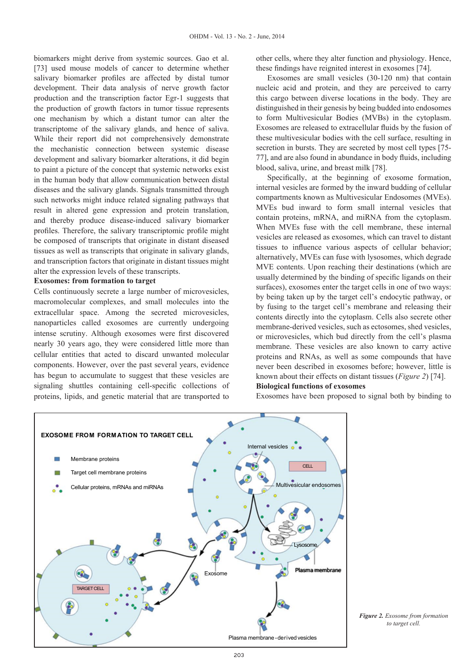biomarkers might derive from systemic sources. Gao et al. [73] used mouse models of cancer to determine whether salivary biomarker profiles are affected by distal tumor development. Their data analysis of nerve growth factor production and the transcription factor Egr-1 suggests that the production of growth factors in tumor tissue represents one mechanism by which a distant tumor can alter the transcriptome of the salivary glands, and hence of saliva. While their report did not comprehensively demonstrate the mechanistic connection between systemic disease development and salivary biomarker alterations, it did begin to paint a picture of the concept that systemic networks exist in the human body that allow communication between distal diseases and the salivary glands. Signals transmitted through such networks might induce related signaling pathways that result in altered gene expression and protein translation, and thereby produce disease-induced salivary biomarker profiles. Therefore, the salivary transcriptomic profile might be composed of transcripts that originate in distant diseased tissues as well as transcripts that originate in salivary glands, and transcription factors that originate in distant tissues might alter the expression levels of these transcripts.

### **Exosomes: from formation to target**

Cells continuously secrete a large number of microvesicles, macromolecular complexes, and small molecules into the extracellular space. Among the secreted microvesicles, nanoparticles called exosomes are currently undergoing intense scrutiny. Although exosomes were first discovered nearly 30 years ago, they were considered little more than cellular entities that acted to discard unwanted molecular components. However, over the past several years, evidence has begun to accumulate to suggest that these vesicles are signaling shuttles containing cell-specific collections of proteins, lipids, and genetic material that are transported to other cells, where they alter function and physiology. Hence, these findings have reignited interest in exosomes [74].

Exosomes are small vesicles (30-120 nm) that contain nucleic acid and protein, and they are perceived to carry this cargo between diverse locations in the body. They are distinguished in their genesis by being budded into endosomes to form Multivesicular Bodies (MVBs) in the cytoplasm. Exosomes are released to extracellular fluids by the fusion of these multivesicular bodies with the cell surface, resulting in secretion in bursts. They are secreted by most cell types [75- 77], and are also found in abundance in body fluids, including blood, saliva, urine, and breast milk [78].

Specifically, at the beginning of exosome formation, internal vesicles are formed by the inward budding of cellular compartments known as Multivesicular Endosomes (MVEs). MVEs bud inward to form small internal vesicles that contain proteins, mRNA, and miRNA from the cytoplasm. When MVEs fuse with the cell membrane, these internal vesicles are released as exosomes, which can travel to distant tissues to influence various aspects of cellular behavior; alternatively, MVEs can fuse with lysosomes, which degrade MVE contents. Upon reaching their destinations (which are usually determined by the binding of specific ligands on their surfaces), exosomes enter the target cells in one of two ways: by being taken up by the target cell's endocytic pathway, or by fusing to the target cell's membrane and releasing their contents directly into the cytoplasm. Cells also secrete other membrane-derived vesicles, such as ectosomes, shed vesicles, or microvesicles, which bud directly from the cell's plasma membrane. These vesicles are also known to carry active proteins and RNAs, as well as some compounds that have never been described in exosomes before; however, little is known about their effects on distant tissues (*Figure 2*) [74]. **Biological functions of exosomes**

Exosomes have been proposed to signal both by binding to



*Figure 2. Exosome from formation to target cell.*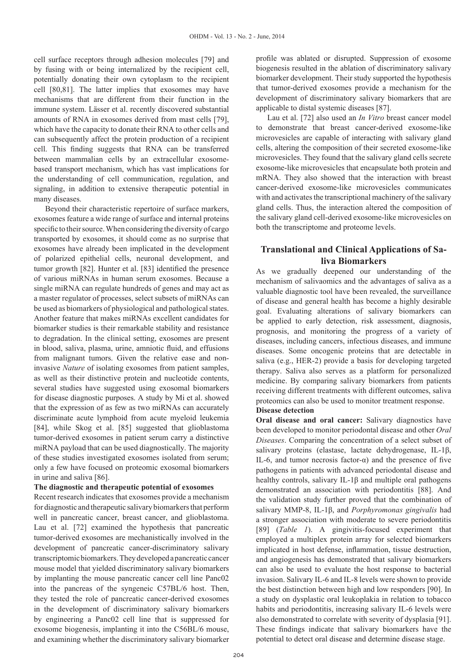cell surface receptors through adhesion molecules [79] and by fusing with or being internalized by the recipient cell, potentially donating their own cytoplasm to the recipient cell [80,81]. The latter implies that exosomes may have mechanisms that are different from their function in the immune system. Lässer et al. recently discovered substantial amounts of RNA in exosomes derived from mast cells [79], which have the capacity to donate their RNA to other cells and can subsequently affect the protein production of a recipient cell. This finding suggests that RNA can be transferred between mammalian cells by an extracellular exosomebased transport mechanism, which has vast implications for the understanding of cell communication, regulation, and signaling, in addition to extensive therapeutic potential in many diseases.

Beyond their characteristic repertoire of surface markers, exosomes feature a wide range of surface and internal proteins specific to their source. When considering the diversity of cargo transported by exosomes, it should come as no surprise that exosomes have already been implicated in the development of polarized epithelial cells, neuronal development, and tumor growth [82]. Hunter et al. [83] identified the presence of various miRNAs in human serum exosomes. Because a single miRNA can regulate hundreds of genes and may act as a master regulator of processes, select subsets of miRNAs can be used as biomarkers of physiological and pathological states. Another feature that makes miRNAs excellent candidates for biomarker studies is their remarkable stability and resistance to degradation. In the clinical setting, exosomes are present in blood, saliva, plasma, urine, amniotic fluid, and effusions from malignant tumors. Given the relative ease and noninvasive *Nature* of isolating exosomes from patient samples, as well as their distinctive protein and nucleotide contents, several studies have suggested using exosomal biomarkers for disease diagnostic purposes. A study by Mi et al. showed that the expression of as few as two miRNAs can accurately discriminate acute lymphoid from acute myeloid leukemia [84], while Skog et al. [85] suggested that glioblastoma tumor-derived exosomes in patient serum carry a distinctive miRNA payload that can be used diagnostically. The majority of these studies investigated exosomes isolated from serum; only a few have focused on proteomic exosomal biomarkers in urine and saliva [86].

### **The diagnostic and therapeutic potential of exosomes**

Recent research indicates that exosomes provide a mechanism for diagnostic and therapeutic salivary biomarkers that perform well in pancreatic cancer, breast cancer, and glioblastoma. Lau et al. [72] examined the hypothesis that pancreatic tumor-derived exosomes are mechanistically involved in the development of pancreatic cancer-discriminatory salivary transcriptomic biomarkers. They developed a pancreatic cancer mouse model that yielded discriminatory salivary biomarkers by implanting the mouse pancreatic cancer cell line Panc02 into the pancreas of the syngeneic C57BL/6 host. Then, they tested the role of pancreatic cancer-derived exosomes in the development of discriminatory salivary biomarkers by engineering a Panc02 cell line that is suppressed for exosome biogenesis, implanting it into the C56BL/6 mouse, and examining whether the discriminatory salivary biomarker

profile was ablated or disrupted. Suppression of exosome biogenesis resulted in the ablation of discriminatory salivary biomarker development. Their study supported the hypothesis that tumor-derived exosomes provide a mechanism for the development of discriminatory salivary biomarkers that are applicable to distal systemic diseases [87].

Lau et al. [72] also used an *In Vitro* breast cancer model to demonstrate that breast cancer-derived exosome-like microvesicles are capable of interacting with salivary gland cells, altering the composition of their secreted exosome-like microvesicles. They found that the salivary gland cells secrete exosome-like microvesicles that encapsulate both protein and mRNA. They also showed that the interaction with breast cancer-derived exosome-like microvesicles communicates with and activates the transcriptional machinery of the salivary gland cells. Thus, the interaction altered the composition of the salivary gland cell-derived exosome-like microvesicles on both the transcriptome and proteome levels.

# **Translational and Clinical Applications of Saliva Biomarkers**

As we gradually deepened our understanding of the mechanism of salivaomics and the advantages of saliva as a valuable diagnostic tool have been revealed, the surveillance of disease and general health has become a highly desirable goal. Evaluating alterations of salivary biomarkers can be applied to early detection, risk assessment, diagnosis, prognosis, and monitoring the progress of a variety of diseases, including cancers, infectious diseases, and immune diseases. Some oncogenic proteins that are detectable in saliva (e.g., HER-2) provide a basis for developing targeted therapy. Saliva also serves as a platform for personalized medicine. By comparing salivary biomarkers from patients receiving different treatments with different outcomes, saliva proteomics can also be used to monitor treatment response.

# **Disease detection**

**Oral disease and oral cancer:** Salivary diagnostics have been developed to monitor periodontal disease and other *Oral Diseases*. Comparing the concentration of a select subset of salivary proteins (elastase, lactate dehydrogenase, IL-1β, IL-6, and tumor necrosis factor- $\alpha$ ) and the presence of five pathogens in patients with advanced periodontal disease and healthy controls, salivary IL-1β and multiple oral pathogens demonstrated an association with periodontitis [88]. And the validation study further proved that the combination of salivary MMP-8, IL-1β, and *Porphyromonas gingivalis* had a stronger association with moderate to severe periodontitis [89] (*Table 1*). A gingivitis-focused experiment that employed a multiplex protein array for selected biomarkers implicated in host defense, inflammation, tissue destruction, and angiogenesis has demonstrated that salivary biomarkers can also be used to evaluate the host response to bacterial invasion. Salivary IL-6 and IL-8 levels were shown to provide the best distinction between high and low responders [90]. In a study on dysplastic oral leukoplakia in relation to tobacco habits and periodontitis, increasing salivary IL-6 levels were also demonstrated to correlate with severity of dysplasia [91]. These findings indicate that salivary biomarkers have the potential to detect oral disease and determine disease stage.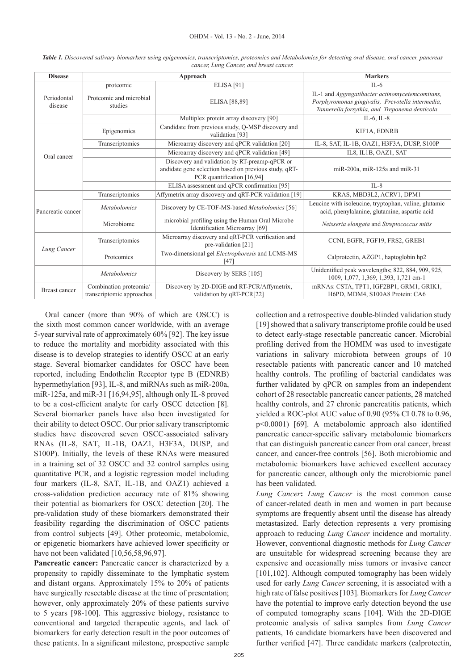| <b>Disease</b>         | Approach                                            |                                                                                                                                      | <b>Markers</b>                                                                                                                                       |
|------------------------|-----------------------------------------------------|--------------------------------------------------------------------------------------------------------------------------------------|------------------------------------------------------------------------------------------------------------------------------------------------------|
| Periodontal<br>disease | proteomic                                           | <b>ELISA</b> [91]                                                                                                                    | $IL-6$                                                                                                                                               |
|                        | Proteomic and microbial<br>studies                  | ELISA [88,89]                                                                                                                        | IL-1 and Aggregatibacter actinomycetemcomitans,<br>Porphyromonas gingivalis, Prevotella intermedia,<br>Tannerella forsythia, and Treponema denticola |
|                        |                                                     | Multiplex protein array discovery [90]                                                                                               | IL-6, IL-8                                                                                                                                           |
| Oral cancer            | Epigenomics                                         | Candidate from previous study, Q-MSP discovery and<br>validation [93]                                                                | KIF1A, EDNRB                                                                                                                                         |
|                        | Transcriptomics                                     | Microarray discovery and qPCR validation [20]                                                                                        | IL-8, SAT, IL-1B, OAZ1, H3F3A, DUSP, S100P                                                                                                           |
|                        |                                                     | Microarray discovery and qPCR validation [49]                                                                                        | IL8, IL1B, OAZ1, SAT                                                                                                                                 |
|                        |                                                     | Discovery and validation by RT-preamp-qPCR or<br>andidate gene selection based on previous study, qRT-<br>PCR quantification [16,94] | miR-200a, miR-125a and miR-31                                                                                                                        |
|                        |                                                     | ELISA assessment and qPCR confirmation [95]                                                                                          | $\Pi - 8$                                                                                                                                            |
| Pancreatic cancer      | Transcriptomics                                     | Affymetrix array discovery and qRT-PCR validation [19]                                                                               | KRAS, MBD3L2, ACRV1, DPM1                                                                                                                            |
|                        | <b>Metabolomics</b>                                 | Discovery by CE-TOF-MS-based Metabolomics [56]                                                                                       | Leucine with isoleucine, tryptophan, valine, glutamic<br>acid, phenylalanine, glutamine, aspartic acid                                               |
|                        | Microbiome                                          | microbial profiling using the Human Oral Microbe<br>Identification Microarray [69]                                                   | Neisseria elongata and Streptococcus mitis                                                                                                           |
| Lung Cancer            | Transcriptomics                                     | Microarray discovery and qRT-PCR verification and<br>pre-validation [21]                                                             | CCNI, EGFR, FGF19, FRS2, GREB1                                                                                                                       |
|                        | Proteomics                                          | Two-dimensional gel Electrophoresis and LCMS-MS<br>[47]                                                                              | Calprotectin, AZGP1, haptoglobin hp2                                                                                                                 |
|                        | <b>Metabolomics</b>                                 | Discovery by SERS [105]                                                                                                              | Unidentified peak wavelengths; 822, 884, 909, 925,<br>1009, 1,077, 1,369, 1,393, 1,721 cm-1                                                          |
| Breast cancer          | Combination proteomic/<br>transcriptomic approaches | Discovery by 2D-DIGE and RT-PCR/Affymetrix,<br>validation by qRT-PCR[22]                                                             | mRNAs: CSTA, TPT1, IGF2BP1, GRM1, GRIK1,<br>H6PD, MDM4, S100A8 Protein: CA6                                                                          |

*Table 1. Discovered salivary biomarkers using epigenomics, transcriptomics, proteomics and Metabolomics for detecting oral disease, oral cancer, pancreas cancer, Lung Cancer, and breast cancer.*

Oral cancer (more than 90% of which are OSCC) is the sixth most common cancer worldwide, with an average 5-year survival rate of approximately 60% [92]. The key issue to reduce the mortality and morbidity associated with this disease is to develop strategies to identify OSCC at an early stage. Several biomarker candidates for OSCC have been reported, including Endothelin Receptor type B (EDNRB) hypermethylation [93], IL-8, and miRNAs such as miR-200a, miR-125a, and miR-31 [16,94,95], although only IL-8 proved to be a cost-efficient analyte for early OSCC detection [8]. Several biomarker panels have also been investigated for their ability to detect OSCC. Our prior salivary transcriptomic studies have discovered seven OSCC-associated salivary RNAs (IL-8, SAT, IL-1B, OAZ1, H3F3A, DUSP, and S100P). Initially, the levels of these RNAs were measured in a training set of 32 OSCC and 32 control samples using quantitative PCR, and a logistic regression model including four markers (IL-8, SAT, IL-1B, and OAZ1) achieved a cross-validation prediction accuracy rate of 81% showing their potential as biomarkers for OSCC detection [20]. The pre-validation study of these biomarkers demonstrated their feasibility regarding the discrimination of OSCC patients from control subjects [49]. Other proteomic, metabolomic, or epigenetic biomarkers have achieved lower specificity or have not been validated [10,56,58,96,97].

Pancreatic cancer: Pancreatic cancer is characterized by a propensity to rapidly disseminate to the lymphatic system and distant organs. Approximately 15% to 20% of patients have surgically resectable disease at the time of presentation; however, only approximately 20% of these patients survive to 5 years [98-100]. This aggressive biology, resistance to conventional and targeted therapeutic agents, and lack of biomarkers for early detection result in the poor outcomes of these patients. In a significant milestone, prospective sample

collection and a retrospective double-blinded validation study [19] showed that a salivary transcriptome profile could be used to detect early-stage resectable pancreatic cancer. Microbial profiling derived from the HOMIM was used to investigate variations in salivary microbiota between groups of 10 resectable patients with pancreatic cancer and 10 matched healthy controls. The profiling of bacterial candidates was further validated by qPCR on samples from an independent cohort of 28 resectable pancreatic cancer patients, 28 matched healthy controls, and 27 chronic pancreatitis patients, which yielded a ROC-plot AUC value of 0.90 (95% CI 0.78 to 0.96, p<0.0001) [69]. A metabolomic approach also identified pancreatic cancer-specific salivary metabolomic biomarkers that can distinguish pancreatic cancer from oral cancer, breast cancer, and cancer-free controls [56]. Both microbiomic and metabolomic biomarkers have achieved excellent accuracy for pancreatic cancer, although only the microbiomic panel has been validated.

*Lung Cancer***:** *Lung Cancer* is the most common cause of cancer-related death in men and women in part because symptoms are frequently absent until the disease has already metastasized. Early detection represents a very promising approach to reducing *Lung Cancer* incidence and mortality. However, conventional diagnostic methods for *Lung Cancer* are unsuitable for widespread screening because they are expensive and occasionally miss tumors or invasive cancer [101,102]. Although computed tomography has been widely used for early *Lung Cancer* screening, it is associated with a high rate of false positives [103]. Biomarkers for *Lung Cancer* have the potential to improve early detection beyond the use of computed tomography scans [104]. With the 2D-DIGE proteomic analysis of saliva samples from *Lung Cancer* patients, 16 candidate biomarkers have been discovered and further verified [47]. Three candidate markers (calprotectin,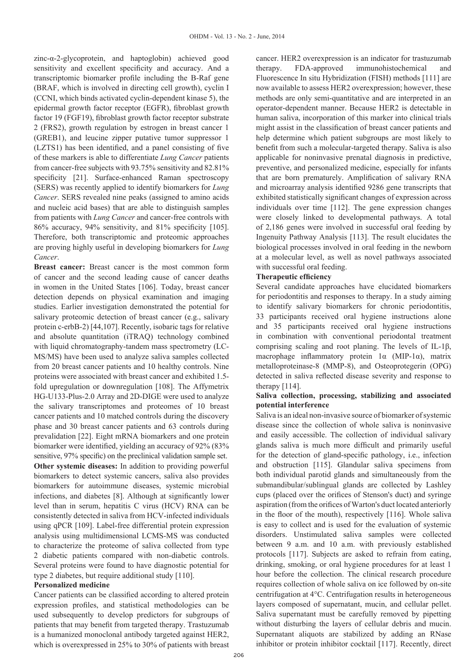zinc-α-2-glycoprotein, and haptoglobin) achieved good sensitivity and excellent specificity and accuracy. And a transcriptomic biomarker profile including the B-Raf gene (BRAF, which is involved in directing cell growth), cyclin I (CCNI, which binds activated cyclin-dependent kinase 5), the epidermal growth factor receptor (EGFR), fibroblast growth factor 19 (FGF19), fibroblast growth factor receptor substrate 2 (FRS2), growth regulation by estrogen in breast cancer 1 (GREB1), and leucine zipper putative tumor suppressor 1 (LZTS1) has been identified, and a panel consisting of five of these markers is able to differentiate *Lung Cancer* patients from cancer-free subjects with 93.75% sensitivity and 82.81% specificity [21]. Surface-enhanced Raman spectroscopy (SERS) was recently applied to identify biomarkers for *Lung Cancer*. SERS revealed nine peaks (assigned to amino acids and nucleic acid bases) that are able to distinguish samples from patients with *Lung Cancer* and cancer-free controls with 86% accuracy, 94% sensitivity, and 81% specificity [105]. Therefore, both transcriptomic and proteomic approaches are proving highly useful in developing biomarkers for *Lung Cancer*.

**Breast cancer:** Breast cancer is the most common form of cancer and the second leading cause of cancer deaths in women in the United States [106]. Today, breast cancer detection depends on physical examination and imaging studies. Earlier investigation demonstrated the potential for salivary proteomic detection of breast cancer (e.g., salivary protein c-erbB-2) [44,107]. Recently, isobaric tags for relative and absolute quantitation (iTRAQ) technology combined with liquid chromatography-tandem mass spectrometry (LC-MS/MS) have been used to analyze saliva samples collected from 20 breast cancer patients and 10 healthy controls. Nine proteins were associated with breast cancer and exhibited 1.5 fold upregulation or downregulation [108]. The Affymetrix HG-U133-Plus-2.0 Array and 2D-DIGE were used to analyze the salivary transcriptomes and proteomes of 10 breast cancer patients and 10 matched controls during the discovery phase and 30 breast cancer patients and 63 controls during prevalidation [22]. Eight mRNA biomarkers and one protein biomarker were identified, yielding an accuracy of 92% (83% sensitive, 97% specific) on the preclinical validation sample set. **Other systemic diseases:** In addition to providing powerful biomarkers to detect systemic cancers, saliva also provides biomarkers for autoimmune diseases, systemic microbial infections, and diabetes [8]. Although at significantly lower level than in serum, hepatitis C virus (HCV) RNA can be consistently detected in saliva from HCV-infected individuals using qPCR [109]. Label-free differential protein expression analysis using multidimensional LCMS-MS was conducted to characterize the proteome of saliva collected from type 2 diabetic patients compared with non-diabetic controls. Several proteins were found to have diagnostic potential for type 2 diabetes, but require additional study [110].

### **Personalized medicine**

Cancer patients can be classified according to altered protein expression profiles, and statistical methodologies can be used subsequently to develop predictors for subgroups of patients that may benefit from targeted therapy. Trastuzumab is a humanized monoclonal antibody targeted against HER2, which is overexpressed in 25% to 30% of patients with breast

cancer. HER2 overexpression is an indicator for trastuzumab therapy. FDA-approved immunohistochemical and Fluorescence In situ Hybridization (FISH) methods [111] are now available to assess HER2 overexpression; however, these methods are only semi-quantitative and are interpreted in an operator-dependent manner. Because HER2 is detectable in human saliva, incorporation of this marker into clinical trials might assist in the classification of breast cancer patients and help determine which patient subgroups are most likely to benefit from such a molecular-targeted therapy. Saliva is also applicable for noninvasive prenatal diagnosis in predictive, preventive, and personalized medicine, especially for infants that are born prematurely. Amplification of salivary RNA and microarray analysis identified 9286 gene transcripts that exhibited statistically significant changes of expression across individuals over time [112]. The gene expression changes were closely linked to developmental pathways. A total of 2,186 genes were involved in successful oral feeding by Ingenuity Pathway Analysis [113]. The result elucidates the biological processes involved in oral feeding in the newborn at a molecular level, as well as novel pathways associated with successful oral feeding.

# **Therapeutic efficiency**

Several candidate approaches have elucidated biomarkers for periodontitis and responses to therapy. In a study aiming to identify salivary biomarkers for chronic periodontitis, 33 participants received oral hygiene instructions alone and 35 participants received oral hygiene instructions in combination with conventional periodontal treatment comprising scaling and root planing. The levels of IL-1β, macrophage inflammatory protein 1α (MIP-1α), matrix metalloproteinase-8 (MMP-8), and Osteoprotegerin (OPG) detected in saliva reflected disease severity and response to therapy [114].

# **Saliva collection, processing, stabilizing and associated potential interference**

Saliva is an ideal non-invasive source of biomarker of systemic disease since the collection of whole saliva is noninvasive and easily accessible. The collection of individual salivary glands saliva is much more difficult and primarily useful for the detection of gland-specific pathology, i.e., infection and obstruction [115]. Glandular saliva specimens from both individual parotid glands and simultaneously from the submandibular/sublingual glands are collected by Lashley cups (placed over the orifices of Stenson's duct) and syringe aspiration (from the orifices of Warton's duct located anteriorly in the floor of the mouth), respectively [116]. Whole saliva is easy to collect and is used for the evaluation of systemic disorders. Unstimulated saliva samples were collected between 9 a.m. and 10 a.m. with previously established protocols [117]. Subjects are asked to refrain from eating, drinking, smoking, or oral hygiene procedures for at least 1 hour before the collection. The clinical research procedure requires collection of whole saliva on ice followed by on-site centrifugation at 4°C. Centrifugation results in heterogeneous layers composed of supernatant, mucin, and cellular pellet. Saliva supernatant must be carefully removed by pipetting without disturbing the layers of cellular debris and mucin. Supernatant aliquots are stabilized by adding an RNase inhibitor or protein inhibitor cocktail [117]. Recently, direct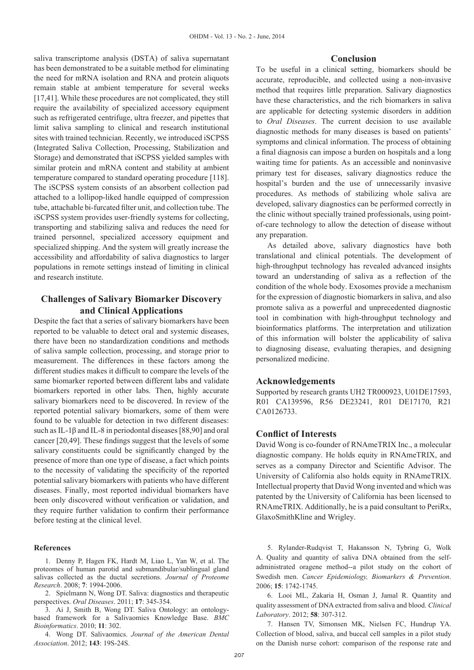saliva transcriptome analysis (DSTA) of saliva supernatant has been demonstrated to be a suitable method for eliminating the need for mRNA isolation and RNA and protein aliquots remain stable at ambient temperature for several weeks [17,41]. While these procedures are not complicated, they still require the availability of specialized accessory equipment such as refrigerated centrifuge, ultra freezer, and pipettes that limit saliva sampling to clinical and research institutional sites with trained technician. Recently, we introduced iSCPSS (Integrated Saliva Collection, Processing, Stabilization and Storage) and demonstrated that iSCPSS yielded samples with similar protein and mRNA content and stability at ambient temperature compared to standard operating procedure [118]. The iSCPSS system consists of an absorbent collection pad attached to a lollipop-liked handle equipped of compression tube, attachable bi-furcated filter unit, and collection tube. The iSCPSS system provides user-friendly systems for collecting, transporting and stabilizing saliva and reduces the need for trained personnel, specialized accessory equipment and specialized shipping. And the system will greatly increase the accessibility and affordability of saliva diagnostics to larger populations in remote settings instead of limiting in clinical and research institute.

# **Challenges of Salivary Biomarker Discovery and Clinical Applications**

Despite the fact that a series of salivary biomarkers have been reported to be valuable to detect oral and systemic diseases, there have been no standardization conditions and methods of saliva sample collection, processing, and storage prior to measurement. The differences in these factors among the different studies makes it difficult to compare the levels of the same biomarker reported between different labs and validate biomarkers reported in other labs. Then, highly accurate salivary biomarkers need to be discovered. In review of the reported potential salivary biomarkers, some of them were found to be valuable for detection in two different diseases: such as IL-1β and IL-8 in periodontal diseases [88,90] and oral cancer [20,49]. These findings suggest that the levels of some salivary constituents could be significantly changed by the presence of more than one type of disease, a fact which points to the necessity of validating the specificity of the reported potential salivary biomarkers with patients who have different diseases. Finally, most reported individual biomarkers have been only discovered without verification or validation, and they require further validation to confirm their performance before testing at the clinical level.

### **References**

1. Denny P, Hagen FK, Hardt M, Liao L, Yan W, et al. The proteomes of human parotid and submandibular/sublingual gland salivas collected as the ductal secretions. *Journal of Proteome Research*. 2008; **7**: 1994-2006.

2. Spielmann N, Wong DT. Saliva: diagnostics and therapeutic perspectives. *Oral Diseases*. 2011; **17**: 345-354.

3. Ai J, Smith B, Wong DT. Saliva Ontology: an ontologybased framework for a Salivaomics Knowledge Base. *BMC Bioinformatics*. 2010; **11**: 302.

4. Wong DT. Salivaomics. *Journal of the American Dental Association*. 2012; **143**: 19S-24S.

# **Conclusion**

To be useful in a clinical setting, biomarkers should be accurate, reproducible, and collected using a non-invasive method that requires little preparation. Salivary diagnostics have these characteristics, and the rich biomarkers in saliva are applicable for detecting systemic disorders in addition to *Oral Diseases*. The current decision to use available diagnostic methods for many diseases is based on patients' symptoms and clinical information. The process of obtaining a final diagnosis can impose a burden on hospitals and a long waiting time for patients. As an accessible and noninvasive primary test for diseases, salivary diagnostics reduce the hospital's burden and the use of unnecessarily invasive procedures. As methods of stabilizing whole saliva are developed, salivary diagnostics can be performed correctly in the clinic without specially trained professionals, using pointof-care technology to allow the detection of disease without any preparation.

As detailed above, salivary diagnostics have both translational and clinical potentials. The development of high-throughput technology has revealed advanced insights toward an understanding of saliva as a reflection of the condition of the whole body. Exosomes provide a mechanism for the expression of diagnostic biomarkers in saliva, and also promote saliva as a powerful and unprecedented diagnostic tool in combination with high-throughput technology and bioinformatics platforms. The interpretation and utilization of this information will bolster the applicability of saliva to diagnosing disease, evaluating therapies, and designing personalized medicine.

# **Acknowledgements**

Supported by research grants UH2 TR000923, U01DE17593, R01 CA139596, R56 DE23241, R01 DE17170, R21 CA0126733.

# **Conflict of Interests**

David Wong is co-founder of RNAmeTRIX Inc., a molecular diagnostic company. He holds equity in RNAmeTRIX, and serves as a company Director and Scientific Advisor. The University of California also holds equity in RNAmeTRIX. Intellectual property that David Wong invented and which was patented by the University of California has been licensed to RNAmeTRIX. Additionally, he is a paid consultant to PeriRx, GlaxoSmithKline and Wrigley.

5. Rylander-Rudqvist T, Hakansson N, Tybring G, Wolk A. Quality and quantity of saliva DNA obtained from the selfadministrated oragene method--a pilot study on the cohort of Swedish men. *Cancer Epidemiology, Biomarkers & Prevention*. 2006; **15**: 1742-1745.

6. Looi ML, Zakaria H, Osman J, Jamal R. Quantity and quality assessment of DNA extracted from saliva and blood. *Clinical Laboratory*. 2012; **58**: 307-312.

7. Hansen TV, Simonsen MK, Nielsen FC, Hundrup YA. Collection of blood, saliva, and buccal cell samples in a pilot study on the Danish nurse cohort: comparison of the response rate and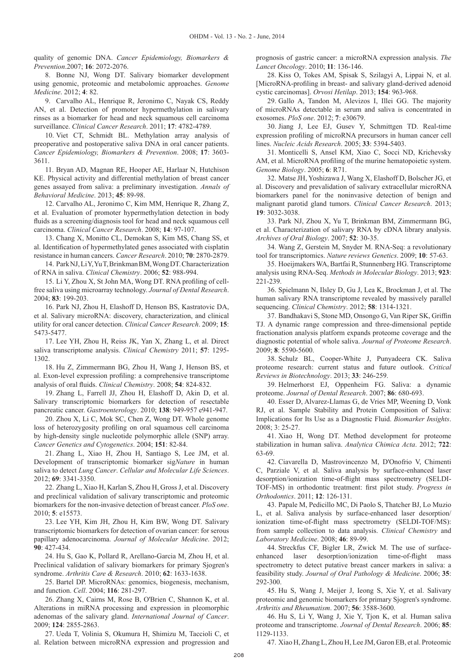quality of genomic DNA. *Cancer Epidemiology, Biomarkers & Prevention*.2007; **16**: 2072-2076.

8. Bonne NJ, Wong DT. Salivary biomarker development using genomic, proteomic and metabolomic approaches. *Genome Medicine*. 2012; **4**: 82.

9. Carvalho AL, Henrique R, Jeronimo C, Nayak CS, Reddy AN, et al. Detection of promoter hypermethylation in salivary rinses as a biomarker for head and neck squamous cell carcinoma surveillance. *Clinical Cancer Research*. 2011; **17**: 4782-4789.

10. Viet CT, Schmidt BL. Methylation array analysis of preoperative and postoperative saliva DNA in oral cancer patients. *Cancer Epidemiology, Biomarkers & Prevention*. 2008; **17**: 3603- 3611.

11. Bryan AD, Magnan RE, Hooper AE, Harlaar N, Hutchison KE. Physical activity and differential methylation of breast cancer genes assayed from saliva: a preliminary investigation. *Annals of Behavioral Medicine*. 2013; **45**: 89-98.

12. Carvalho AL, Jeronimo C, Kim MM, Henrique R, Zhang Z, et al. Evaluation of promoter hypermethylation detection in body fluids as a screening/diagnosis tool for head and neck squamous cell carcinoma. *Clinical Cancer Research*. 2008; **14**: 97-107.

13. Chang X, Monitto CL, Demokan S, Kim MS, Chang SS, et al. Identification of hypermethylated genes associated with cisplatin resistance in human cancers. *Cancer Research*. 2010; **70**: 2870-2879.

14. Park NJ, Li Y, Yu T, Brinkman BM, Wong DT. Characterization of RNA in saliva. *Clinical Chemistry*. 2006; **52**: 988-994.

15. Li Y, Zhou X, St John MA, Wong DT. RNA profiling of cellfree saliva using microarray technology. *Journal of Dental Research*. 2004; **83**: 199-203.

16. Park NJ, Zhou H, Elashoff D, Henson BS, Kastratovic DA, et al. Salivary microRNA: discovery, characterization, and clinical utility for oral cancer detection. *Clinical Cancer Research*. 2009; **15**: 5473-5477.

17. Lee YH, Zhou H, Reiss JK, Yan X, Zhang L, et al. Direct saliva transcriptome analysis. *Clinical Chemistry* 2011; **57**: 1295- 1302.

18. Hu Z, Zimmermann BG, Zhou H, Wang J, Henson BS, et al. Exon-level expression profiling: a comprehensive transcriptome analysis of oral fluids. *Clinical Chemistry*. 2008; **54**: 824-832.

19. Zhang L, Farrell JJ, Zhou H, Elashoff D, Akin D, et al. Salivary transcriptomic biomarkers for detection of resectable pancreatic cancer. *Gastroenterology*. 2010; **138**: 949-957 e941-947.

20. Zhou X, Li C, Mok SC, Chen Z, Wong DT. Whole genome loss of heterozygosity profiling on oral squamous cell carcinoma by high-density single nucleotide polymorphic allele (SNP) array. *Cancer Genetics and Cytogenetics*. 2004; **151**: 82-84.

21. Zhang L, Xiao H, Zhou H, Santiago S, Lee JM, et al. Development of transcriptomic biomarker sig*Nature* in human saliva to detect *Lung Cancer*. *Cellular and Molecular Life Sciences*. 2012; **69**: 3341-3350.

22. Zhang L, Xiao H, Karlan S, Zhou H, Gross J, et al. Discovery and preclinical validation of salivary transcriptomic and proteomic biomarkers for the non-invasive detection of breast cancer. *PloS one*. 2010; **5**: e15573.

23. Lee YH, Kim JH, Zhou H, Kim BW, Wong DT. Salivary transcriptomic biomarkers for detection of ovarian cancer: for serous papillary adenocarcinoma. *Journal of Molecular Medicine*. 2012; **90**: 427-434.

24. Hu S, Gao K, Pollard R, Arellano-Garcia M, Zhou H, et al. Preclinical validation of salivary biomarkers for primary Sjogren's syndrome. *Arthritis Care & Research*. 2010; **62**: 1633-1638.

25. Bartel DP. MicroRNAs: genomics, biogenesis, mechanism, and function. *Cell*. 2004; **116**: 281-297.

26. Zhang X, Cairns M, Rose B, O'Brien C, Shannon K, et al. Alterations in miRNA processing and expression in pleomorphic adenomas of the salivary gland. *International Journal of Cancer*. 2009; **124**: 2855-2863.

27. Ueda T, Volinia S, Okumura H, Shimizu M, Taccioli C, et al. Relation between microRNA expression and progression and prognosis of gastric cancer: a microRNA expression analysis. *The Lancet Oncology*. 2010; **11**: 136-146.

28. Kiss O, Tokes AM, Spisak S, Szilagyi A, Lippai N, et al. [MicroRNA-profiling in breast- and salivary gland-derived adenoid cystic carcinomas]. *Orvosi Hetilap*. 2013; **154**: 963-968.

29. Gallo A, Tandon M, Alevizos I, Illei GG. The majority of microRNAs detectable in serum and saliva is concentrated in exosomes. *PloS one*. 2012; **7**: e30679.

30. Jiang J, Lee EJ, Gusev Y, Schmittgen TD. Real-time expression profiling of microRNA precursors in human cancer cell lines. *Nucleic Acids Research*. 2005; **33**: 5394-5403.

31. Monticelli S, Ansel KM, Xiao C, Socci ND, Krichevsky AM, et al. MicroRNA profiling of the murine hematopoietic system. *Genome Biology*. 2005; **6**: R71.

32. Matse JH, Yoshizawa J, Wang X, Elashoff D, Bolscher JG, et al. Discovery and prevalidation of salivary extracellular microRNA biomarkers panel for the noninvasive detection of benign and malignant parotid gland tumors. *Clinical Cancer Research*. 2013; **19**: 3032-3038.

33. Park NJ, Zhou X, Yu T, Brinkman BM, Zimmermann BG, et al. Characterization of salivary RNA by cDNA library analysis. *Archives of Oral Biology*. 2007; **52**: 30-35.

34. Wang Z, Gerstein M, Snyder M. RNA-Seq: a revolutionary tool for transcriptomics. *Nature reviews Genetics*. 2009; **10**: 57-63.

35. Hoeijmakers WA, Bartfai R, Stunnenberg HG. Transcriptome analysis using RNA-Seq. *Methods in Molecular Biology*. 2013; **923**: 221-239.

36. Spielmann N, Ilsley D, Gu J, Lea K, Brockman J, et al. The human salivary RNA transcriptome revealed by massively parallel sequencing. *Clinical Chemistry*. 2012; **58**: 1314-1321.

37. Bandhakavi S, Stone MD, Onsongo G, Van Riper SK, Griffin TJ. A dynamic range compression and three-dimensional peptide fractionation analysis platform expands proteome coverage and the diagnostic potential of whole saliva. *Journal of Proteome Research*. 2009; **8**: 5590-5600.

38. Schulz BL, Cooper-White J, Punyadeera CK. Saliva proteome research: current status and future outlook. *Critical Reviews in Biotechnology*. 2013; **33**: 246-259.

39. Helmerhorst EJ, Oppenheim FG. Saliva: a dynamic proteome. *Journal of Dental Research*. 2007; **86**: 680-693.

40. Esser D, Alvarez-Llamas G, de Vries MP, Weening D, Vonk RJ, et al. Sample Stability and Protein Composition of Saliva: Implications for Its Use as a Diagnostic Fluid. *Biomarker Insights*. 2008; 3: 25-27.

41. Xiao H, Wong DT. Method development for proteome stabilization in human saliva. *Analytica Chimica Acta*. 2012; **722**: 63-69.

42. Ciavarella D, Mastrovincenzo M, D'Onofrio V, Chimenti C, Parziale V, et al. Saliva analysis by surface-enhanced laser desorption/ionization time-of-flight mass spectrometry (SELDI-TOF-MS) in orthodontic treatment: first pilot study. *Progress in Orthodontics*. 2011; **12**: 126-131.

43. Papale M, Pedicillo MC, Di Paolo S, Thatcher BJ, Lo Muzio L, et al. Saliva analysis by surface-enhanced laser desorption/ ionization time-of-flight mass spectrometry (SELDI-TOF/MS): from sample collection to data analysis. *Clinical Chemistry* and *Laboratory Medicine*. 2008; **46**: 89-99.

44. Streckfus CF, Bigler LR, Zwick M. The use of surfaceenhanced laser desorption/ionization time-of-flight mass spectrometry to detect putative breast cancer markers in saliva: a feasibility study. *Journal of Oral Pathology & Medicine*. 2006; **35**: 292-300.

45. Hu S, Wang J, Meijer J, Ieong S, Xie Y, et al. Salivary proteomic and genomic biomarkers for primary Sjogren's syndrome. *Arthritis and Rheumatism*. 2007; **56**: 3588-3600.

46. Hu S, Li Y, Wang J, Xie Y, Tjon K, et al. Human saliva proteome and transcriptome. *Journal of Dental Research*. 2006; **85**: 1129-1133.

47. Xiao H, Zhang L, Zhou H, Lee JM, Garon EB, et al. Proteomic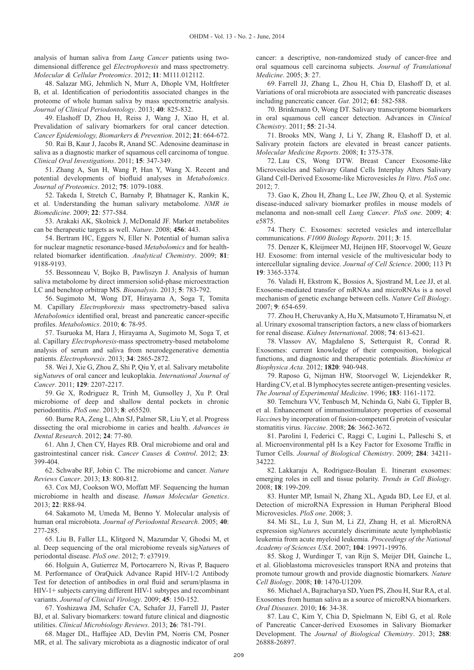analysis of human saliva from *Lung Cancer* patients using twodimensional difference gel *Electrophoresis* and mass spectrometry. *Molecular & Cellular Proteomics*. 2012; **11**: M111.012112.

48. Salazar MG, Jehmlich N, Murr A, Dhople VM, Holtfreter B, et al. Identification of periodontitis associated changes in the proteome of whole human saliva by mass spectrometric analysis. *Journal of Clinical Periodontology*. 2013; **40**: 825-832.

49. Elashoff D, Zhou H, Reiss J, Wang J, Xiao H, et al. Prevalidation of salivary biomarkers for oral cancer detection. *Cancer Epidemiology, Biomarkers & Prevention*. 2012; **21**: 664-672.

50. Rai B, Kaur J, Jacobs R, Anand SC. Adenosine deaminase in saliva as a diagnostic marker of squamous cell carcinoma of tongue. *Clinical Oral Investigations*. 2011; **15**: 347-349.

51. Zhang A, Sun H, Wang P, Han Y, Wang X. Recent and potential developments of biofluid analyses in *Metabolomics*. *Journal of Proteomics*. 2012; **75**: 1079-1088.

52. Takeda I, Stretch C, Barnaby P, Bhatnager K, Rankin K, et al. Understanding the human salivary metabolome. *NMR in Biomedicine*. 2009; **22**: 577-584.

53. Arakaki AK, Skolnick J, McDonald JF. Marker metabolites can be therapeutic targets as well. *Nature*. 2008; **456**: 443.

54. Bertram HC, Eggers N, Eller N. Potential of human saliva for nuclear magnetic resonance-based *Metabolomics* and for healthrelated biomarker identification. *Analytical Chemistry*. 2009; **81**: 9188-9193.

55. Bessonneau V, Bojko B, Pawliszyn J. Analysis of human saliva metabolome by direct immersion solid-phase microextraction LC and benchtop orbitrap MS. *Bioanalysis*. 2013; **5**: 783-792.

56. Sugimoto M, Wong DT, Hirayama A, Soga T, Tomita M. Capillary *Electrophoresis* mass spectrometry-based saliva *Metabolomics* identified oral, breast and pancreatic cancer-specific profiles. *Metabolomics*. 2010; **6**: 78-95.

57. Tsuruoka M, Hara J, Hirayama A, Sugimoto M, Soga T, et al. Capillary *Electrophoresis*-mass spectrometry-based metabolome analysis of serum and saliva from neurodegenerative dementia patients. *Electrophoresis*. 2013; **34**: 2865-2872.

58. Wei J, Xie G, Zhou Z, Shi P, Qiu Y, et al. Salivary metabolite sig*Nature*s of oral cancer and leukoplakia. *International Journal of Cancer*. 2011; **129**: 2207-2217.

59. Ge X, Rodriguez R, Trinh M, Gunsolley J, Xu P. Oral microbiome of deep and shallow dental pockets in chronic periodontitis. *PloS one*. 2013; **8**: e65520.

60. Burne RA, Zeng L, Ahn SJ, Palmer SR, Liu Y, et al. Progress dissecting the oral microbiome in caries and health. *Advances in Dental Research*. 2012; **24**: 77-80.

61. Ahn J, Chen CY, Hayes RB. Oral microbiome and oral and gastrointestinal cancer risk. *Cancer Causes & Control*. 2012; **23**: 399-404.

62. Schwabe RF, Jobin C. The microbiome and cancer. *Nature Reviews Cancer*. 2013; **13**: 800-812.

63. Cox MJ, Cookson WO, Moffatt MF. Sequencing the human microbiome in health and disease. *Human Molecular Genetics*. 2013; **22**: R88-94.

64. Sakamoto M, Umeda M, Benno Y. Molecular analysis of human oral microbiota. *Journal of Periodontal Research*. 2005; **40**: 277-285.

65. Liu B, Faller LL, Klitgord N, Mazumdar V, Ghodsi M, et al. Deep sequencing of the oral microbiome reveals sig*Nature*s of periodontal disease. *PloS one*. 2012; **7**: e37919.

66. Holguin A, Gutierrez M, Portocarrero N, Rivas P, Baquero M. Performance of OraQuick Advance Rapid HIV-1/2 Antibody Test for detection of antibodies in oral fluid and serum/plasma in HIV-1+ subjects carrying different HIV-1 subtypes and recombinant variants. *Journal of Clinical Virology*. 2009; **45**: 150-152.

67. Yoshizawa JM, Schafer CA, Schafer JJ, Farrell JJ, Paster BJ, et al. Salivary biomarkers: toward future clinical and diagnostic utilities. *Clinical Microbiology Reviews*. 2013; **26**: 781-791.

68. Mager DL, Haffajee AD, Devlin PM, Norris CM, Posner MR, et al. The salivary microbiota as a diagnostic indicator of oral cancer: a descriptive, non-randomized study of cancer-free and oral squamous cell carcinoma subjects. *Journal of Translational Medicine*. 2005; **3**: 27.

69. Farrell JJ, Zhang L, Zhou H, Chia D, Elashoff D, et al. Variations of oral microbiota are associated with pancreatic diseases including pancreatic cancer. *Gut*. 2012; **61**: 582-588.

70. Brinkmann O, Wong DT. Salivary transcriptome biomarkers in oral squamous cell cancer detection. Advances in *Clinical Chemistry*. 2011; **55**: 21-34.

71. Brooks MN, Wang J, Li Y, Zhang R, Elashoff D, et al. Salivary protein factors are elevated in breast cancer patients. *Molecular Medicine Reports*. 2008; **1:** 375-378.

72. Lau CS, Wong DTW. Breast Cancer Exosome-like Microvesicles and Salivary Gland Cells Interplay Alters Salivary Gland Cell-Derived Exosome-like Microvesicles *In Vitro*. *PloS one*. 2012; 7.

73. Gao K, Zhou H, Zhang L, Lee JW, Zhou Q, et al. Systemic disease-induced salivary biomarker profiles in mouse models of melanoma and non-small cell *Lung Cancer*. *PloS one*. 2009; **4**: e5875.

74. Thery C. Exosomes: secreted vesicles and intercellular communications. *F1000 Biology Reports*. 2011; **3**: 15.

75. Denzer K, Kleijmeer MJ, Heijnen HF, Stoorvogel W, Geuze HJ. Exosome: from internal vesicle of the multivesicular body to intercellular signaling device. *Journal of Cell Science*. 2000; 113 Pt **19**: 3365-3374.

76. Valadi H, Ekstrom K, Bossios A, Sjostrand M, Lee JJ, et al. Exosome-mediated transfer of mRNAs and microRNAs is a novel mechanism of genetic exchange between cells. *Nature Cell Biology*. 2007; **9**: 654-659.

77. Zhou H, Cheruvanky A, Hu X, Matsumoto T, Hiramatsu N, et al. Urinary exosomal transcription factors, a new class of biomarkers for renal disease. *Kidney International*. 2008; **74**: 613-621.

78. Vlassov AV, Magdaleno S, Setterquist R, Conrad R. Exosomes: current knowledge of their composition, biological functions, and diagnostic and therapeutic potentials. *Biochimica et Biophysica Acta*. 2012; **1820**: 940-948.

79. Raposo G, Nijman HW, Stoorvogel W, Liejendekker R, Harding CV, et al. B lymphocytes secrete antigen-presenting vesicles. *The Journal of Experimental Medicine*. 1996; **183**: 1161-1172.

80. Temchura VV, Tenbusch M, Nchinda G, Nabi G, Tippler B, et al. Enhancement of immunostimulatory properties of exosomal *Vaccine*s by incorporation of fusion-competent G protein of vesicular stomatitis virus. *Vaccine*. 2008; **26**: 3662-3672.

81. Parolini I, Federici C, Raggi C, Lugini L, Palleschi S, et al. Microenvironmental pH Is a Key Factor for Exosome Traffic in Tumor Cells. *Journal of Biological Chemistry*. 2009; **284**: 34211- 34222.

82. Lakkaraju A, Rodriguez-Boulan E. Itinerant exosomes: emerging roles in cell and tissue polarity. *Trends in Cell Biology*. 2008; **18**: 199-209.

83. Hunter MP, Ismail N, Zhang XL, Aguda BD, Lee EJ, et al. Detection of microRNA Expression in Human Peripheral Blood Microvesicles. *PloS one*. 2008; 3.

84. Mi SL, Lu J, Sun M, Li ZJ, Zhang H, et al. MicroRNA expression sig*Nature*s accurately discriminate acute lymphoblastic leukemia from acute myeloid leukemia. *Proceedings of the National Academy of Sciences USA*. 2007; **104**: 19971-19976.

85. Skog J, Wurdinger T, van Rijn S, Meijer DH, Gainche L, et al. Glioblastoma microvesicles transport RNA and proteins that promote tumour growth and provide diagnostic biomarkers. *Nature Cell Biology*. 2008; **10**: 1470-U1209.

86. Michael A, Bajracharya SD, Yuen PS, Zhou H, Star RA, et al. Exosomes from human saliva as a source of microRNA biomarkers. *Oral Diseases*. 2010; **16**: 34-38.

87. Lau C, Kim Y, Chia D, Spielmann N, Eibl G, et al. Role of Pancreatic Cancer-derived Exosomes in Salivary Biomarker Development. The *Journal of Biological Chemistry*. 2013; **288**: 26888-26897.